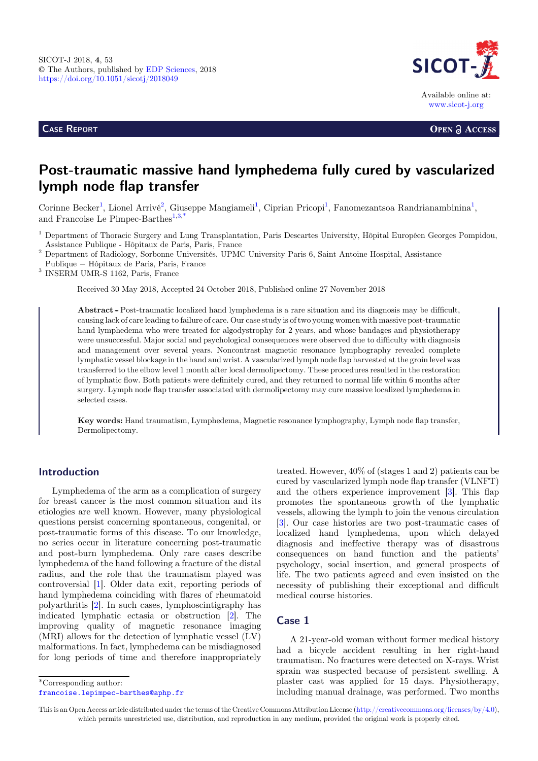CASE REPORT



**OPEN A ACCESS** 

# Post-traumatic massive hand lymphedema fully cured by vascularized lymph node flap transfer

Corinne Becker<sup>1</sup>, Lionel Arrivé<sup>2</sup>, Giuseppe Mangiameli<sup>1</sup>, Ciprian Pricopi<sup>1</sup>, Fanomezantsoa Randrianambinina<sup>1</sup>, and Francoise Le Pimpec-Barthes<sup>1,3,\*</sup>

<sup>1</sup> Department of Thoracic Surgery and Lung Transplantation, Paris Descartes University, Hôpital Européen Georges Pompidou, Assistance Publique - Hôpitaux de Paris, Paris, France <sup>2</sup> Department of Radiology, Sorbonne Universités, UPMC University Paris 6, Saint Antoine Hospital, Assistance

<code>Publique  $-$ Hôpitaux de Paris, Paris, France</code>  $^3$  <code>INSERM UMR-S 1162, Paris, France</code>

Received 30 May 2018, Accepted 24 October 2018, Published online 27 November 2018

Abstract - Post-traumatic localized hand lymphedema is a rare situation and its diagnosis may be difficult, causing lack of care leading to failure of care. Our case study is of two young women with massive post-traumatic hand lymphedema who were treated for algodystrophy for 2 years, and whose bandages and physiotherapy were unsuccessful. Major social and psychological consequences were observed due to difficulty with diagnosis and management over several years. Noncontrast magnetic resonance lymphography revealed complete lymphatic vessel blockage in the hand and wrist. A vascularized lymph node flap harvested at the groin level was transferred to the elbow level 1 month after local dermolipectomy. These procedures resulted in the restoration of lymphatic flow. Both patients were definitely cured, and they returned to normal life within 6 months after surgery. Lymph node flap transfer associated with dermolipectomy may cure massive localized lymphedema in selected cases.

Key words: Hand traumatism, Lymphedema, Magnetic resonance lymphography, Lymph node flap transfer, Dermolipectomy.

### Introduction

Lymphedema of the arm as a complication of surgery for breast cancer is the most common situation and its etiologies are well known. However, many physiological questions persist concerning spontaneous, congenital, or post-traumatic forms of this disease. To our knowledge, no series occur in literature concerning post-traumatic and post-burn lymphedema. Only rare cases describe lymphedema of the hand following a fracture of the distal radius, and the role that the traumatism played was controversial [\[1](#page-4-0)]. Older data exit, reporting periods of hand lymphedema coinciding with flares of rheumatoid polyarthritis [[2\]](#page-4-0). In such cases, lymphoscintigraphy has indicated lymphatic ectasia or obstruction [[2\]](#page-4-0). The improving quality of magnetic resonance imaging (MRI) allows for the detection of lymphatic vessel (LV) malformations. In fact, lymphedema can be misdiagnosed for long periods of time and therefore inappropriately

treated. However, 40% of (stages 1 and 2) patients can be cured by vascularized lymph node flap transfer (VLNFT) and the others experience improvement [\[3](#page-4-0)]. This flap promotes the spontaneous growth of the lymphatic vessels, allowing the lymph to join the venous circulation [[3](#page-4-0)]. Our case histories are two post-traumatic cases of localized hand lymphedema, upon which delayed diagnosis and ineffective therapy was of disastrous consequences on hand function and the patients' psychology, social insertion, and general prospects of life. The two patients agreed and even insisted on the necessity of publishing their exceptional and difficult medical course histories.

#### Case 1

A 21-year-old woman without former medical history had a bicycle accident resulting in her right-hand traumatism. No fractures were detected on X-rays. Wrist sprain was suspected because of persistent swelling. A plaster cast was applied for 15 days. Physiotherapy, including manual drainage, was performed. Two months

\*Corresponding author:

[francoise.lepimpec-barthes@aphp.fr](mailto:francoise.lepimpec-barthes@aphp.fr)

This is an Open Access article distributed under the terms of the Creative Commons Attribution License ([http://creativecommons.org/licenses/by/4.0\)](http://creativecommons.org/licenses/by/4.0), which permits unrestricted use, distribution, and reproduction in any medium, provided the original work is properly cited.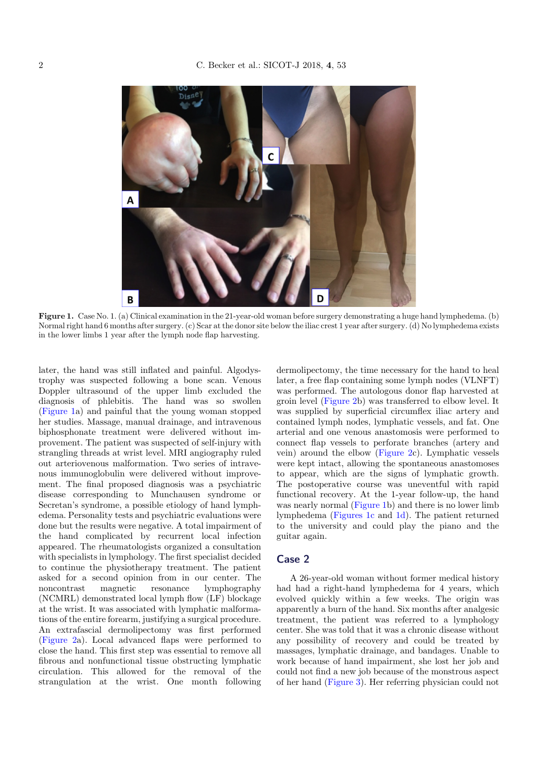

Figure 1. Case No. 1. (a) Clinical examination in the 21-year-old woman before surgery demonstrating a huge hand lymphedema. (b) Normal right hand 6 months after surgery. (c) Scar at the donor site below the iliac crest 1 year after surgery. (d) No lymphedema exists in the lower limbs 1 year after the lymph node flap harvesting.

later, the hand was still inflated and painful. Algodystrophy was suspected following a bone scan. Venous Doppler ultrasound of the upper limb excluded the diagnosis of phlebitis. The hand was so swollen (Figure 1a) and painful that the young woman stopped her studies. Massage, manual drainage, and intravenous biphosphonate treatment were delivered without improvement. The patient was suspected of self-injury with strangling threads at wrist level. MRI angiography ruled out arteriovenous malformation. Two series of intravenous immunoglobulin were delivered without improvement. The final proposed diagnosis was a psychiatric disease corresponding to Munchausen syndrome or Secretan's syndrome, a possible etiology of hand lymphedema. Personality tests and psychiatric evaluations were done but the results were negative. A total impairment of the hand complicated by recurrent local infection appeared. The rheumatologists organized a consultation with specialists in lymphology. The first specialist decided to continue the physiotherapy treatment. The patient asked for a second opinion from in our center. The noncontrast magnetic resonance lymphography (NCMRL) demonstrated local lymph flow (LF) blockage at the wrist. It was associated with lymphatic malformations of the entire forearm, justifying a surgical procedure. An extrafascial dermolipectomy was first performed [\(Figure 2a](#page-2-0)). Local advanced flaps were performed to close the hand. This first step was essential to remove all fibrous and nonfunctional tissue obstructing lymphatic circulation. This allowed for the removal of the strangulation at the wrist. One month following dermolipectomy, the time necessary for the hand to heal later, a free flap containing some lymph nodes (VLNFT) was performed. The autologous donor flap harvested at groin level [\(Figure 2](#page-2-0)b) was transferred to elbow level. It was supplied by superficial circumflex iliac artery and contained lymph nodes, lymphatic vessels, and fat. One arterial and one venous anastomosis were performed to connect flap vessels to perforate branches (artery and vein) around the elbow ([Figure 2c](#page-2-0)). Lymphatic vessels were kept intact, allowing the spontaneous anastomoses to appear, which are the signs of lymphatic growth. The postoperative course was uneventful with rapid functional recovery. At the 1-year follow-up, the hand was nearly normal (Figure 1b) and there is no lower limb lymphedema (Figures 1c and 1d). The patient returned to the university and could play the piano and the guitar again.

#### Case 2

A 26-year-old woman without former medical history had had a right-hand lymphedema for 4 years, which evolved quickly within a few weeks. The origin was apparently a burn of the hand. Six months after analgesic treatment, the patient was referred to a lymphology center. She was told that it was a chronic disease without any possibility of recovery and could be treated by massages, lymphatic drainage, and bandages. Unable to work because of hand impairment, she lost her job and could not find a new job because of the monstrous aspect of her hand [\(Figure 3](#page-2-0)). Her referring physician could not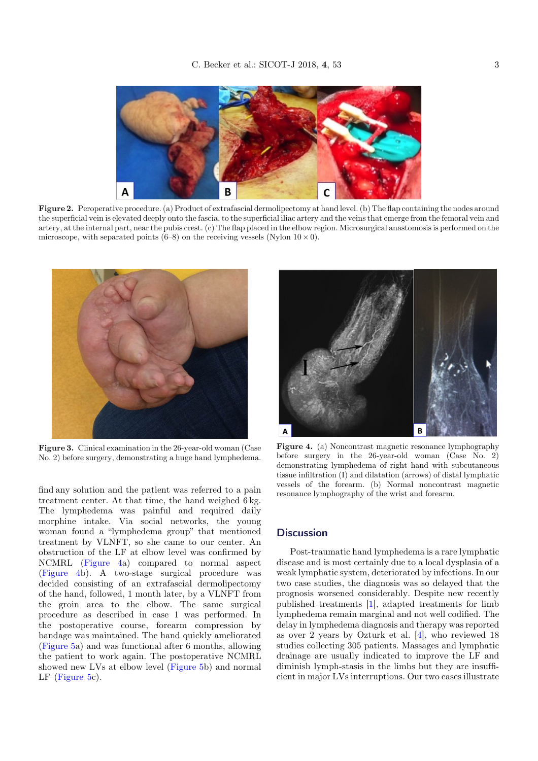<span id="page-2-0"></span>

Figure 2. Peroperative procedure. (a) Product of extrafascial dermolipectomy at hand level. (b) The flap containing the nodes around the superficial vein is elevated deeply onto the fascia, to the superficial iliac artery and the veins that emerge from the femoral vein and artery, at the internal part, near the pubis crest. (c) The flap placed in the elbow region. Microsurgical anastomosis is performed on the microscope, with separated points (6–8) on the receiving vessels (Nylon  $10 \times 0$ ).



Figure 3. Clinical examination in the 26-year-old woman (Case No. 2) before surgery, demonstrating a huge hand lymphedema.

find any solution and the patient was referred to a pain treatment center. At that time, the hand weighed 6 kg. The lymphedema was painful and required daily morphine intake. Via social networks, the young woman found a "lymphedema group" that mentioned treatment by VLNFT, so she came to our center. An obstruction of the LF at elbow level was confirmed by NCMRL (Figure 4a) compared to normal aspect (Figure 4b). A two-stage surgical procedure was decided consisting of an extrafascial dermolipectomy of the hand, followed, 1 month later, by a VLNFT from the groin area to the elbow. The same surgical procedure as described in case 1 was performed. In the postoperative course, forearm compression by bandage was maintained. The hand quickly ameliorated [\(Figure 5](#page-3-0)a) and was functional after 6 months, allowing the patient to work again. The postoperative NCMRL showed new LVs at elbow level ([Figure 5b](#page-3-0)) and normal LF [\(Figure 5](#page-3-0)c).



Figure 4. (a) Noncontrast magnetic resonance lymphography before surgery in the 26-year-old woman (Case No. 2) demonstrating lymphedema of right hand with subcutaneous tissue infiltration (I) and dilatation (arrows) of distal lymphatic vessels of the forearm. (b) Normal noncontrast magnetic resonance lymphography of the wrist and forearm.

#### **Discussion**

Post-traumatic hand lymphedema is a rare lymphatic disease and is most certainly due to a local dysplasia of a weak lymphatic system, deteriorated by infections. In our two case studies, the diagnosis was so delayed that the prognosis worsened considerably. Despite new recently published treatments [\[1](#page-4-0)], adapted treatments for limb lymphedema remain marginal and not well codified. The delay in lymphedema diagnosis and therapy was reported as over 2 years by Ozturk et al. [[4\]](#page-4-0), who reviewed 18 studies collecting 305 patients. Massages and lymphatic drainage are usually indicated to improve the LF and diminish lymph-stasis in the limbs but they are insufficient in major LVs interruptions. Our two cases illustrate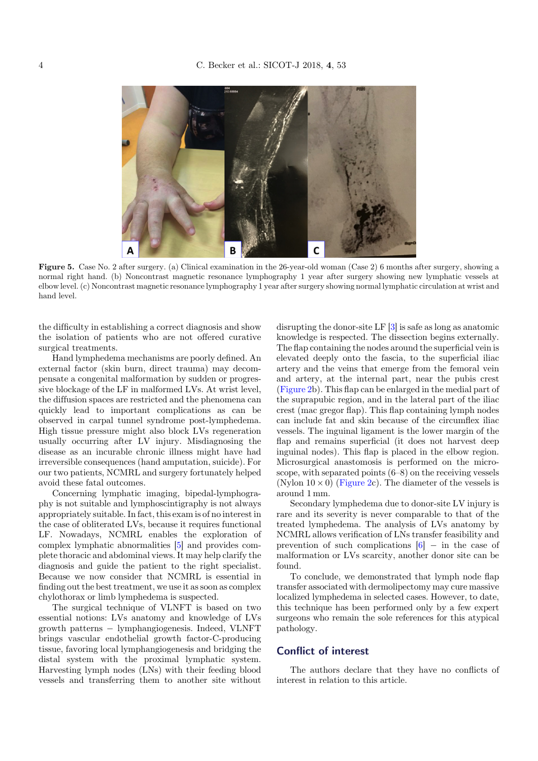<span id="page-3-0"></span>

Figure 5. Case No. 2 after surgery. (a) Clinical examination in the 26-year-old woman (Case 2) 6 months after surgery, showing a normal right hand. (b) Noncontrast magnetic resonance lymphography 1 year after surgery showing new lymphatic vessels at elbow level. (c) Noncontrast magnetic resonance lymphography 1 year after surgery showing normal lymphatic circulation at wrist and hand level.

the difficulty in establishing a correct diagnosis and show the isolation of patients who are not offered curative surgical treatments.

Hand lymphedema mechanisms are poorly defined. An external factor (skin burn, direct trauma) may decompensate a congenital malformation by sudden or progressive blockage of the LF in malformed LVs. At wrist level, the diffusion spaces are restricted and the phenomena can quickly lead to important complications as can be observed in carpal tunnel syndrome post-lymphedema. High tissue pressure might also block LVs regeneration usually occurring after LV injury. Misdiagnosing the disease as an incurable chronic illness might have had irreversible consequences (hand amputation, suicide). For our two patients, NCMRL and surgery fortunately helped avoid these fatal outcomes.

Concerning lymphatic imaging, bipedal-lymphography is not suitable and lymphoscintigraphy is not always appropriately suitable. In fact, this exam is of no interest in the case of obliterated LVs, because it requires functional LF. Nowadays, NCMRL enables the exploration of complex lymphatic abnormalities [[5\]](#page-4-0) and provides complete thoracic and abdominal views. It may help clarify the diagnosis and guide the patient to the right specialist. Because we now consider that NCMRL is essential in finding out the best treatment, we use it as soon as complex chylothorax or limb lymphedema is suspected.

The surgical technique of VLNFT is based on two essential notions: LVs anatomy and knowledge of LVs growth patterns - lymphangiogenesis. Indeed, VLNFT brings vascular endothelial growth factor-C-producing tissue, favoring local lymphangiogenesis and bridging the distal system with the proximal lymphatic system. Harvesting lymph nodes (LNs) with their feeding blood vessels and transferring them to another site without disrupting the donor-site LF [\[3](#page-4-0)] is safe as long as anatomic knowledge is respected. The dissection begins externally. The flap containing the nodes around the superficial vein is elevated deeply onto the fascia, to the superficial iliac artery and the veins that emerge from the femoral vein and artery, at the internal part, near the pubis crest ([Figure 2b](#page-2-0)). This flap can be enlarged in the medial part of the suprapubic region, and in the lateral part of the iliac crest (mac gregor flap). This flap containing lymph nodes can include fat and skin because of the circumflex iliac vessels. The inguinal ligament is the lower margin of the flap and remains superficial (it does not harvest deep inguinal nodes). This flap is placed in the elbow region. Microsurgical anastomosis is performed on the microscope, with separated points (6–8) on the receiving vessels (Nylon  $10 \times 0$ ) ([Figure 2c](#page-2-0)). The diameter of the vessels is around 1 mm.

Secondary lymphedema due to donor-site LV injury is rare and its severity is never comparable to that of the treated lymphedema. The analysis of LVs anatomy by NCMRL allows verification of LNs transfer feasibility and prevention of such complications  $[6]$  $[6]$  – in the case of malformation or LVs scarcity, another donor site can be found.

To conclude, we demonstrated that lymph node flap transfer associated with dermolipectomy may cure massive localized lymphedema in selected cases. However, to date, this technique has been performed only by a few expert surgeons who remain the sole references for this atypical pathology.

#### Conflict of interest

The authors declare that they have no conflicts of interest in relation to this article.